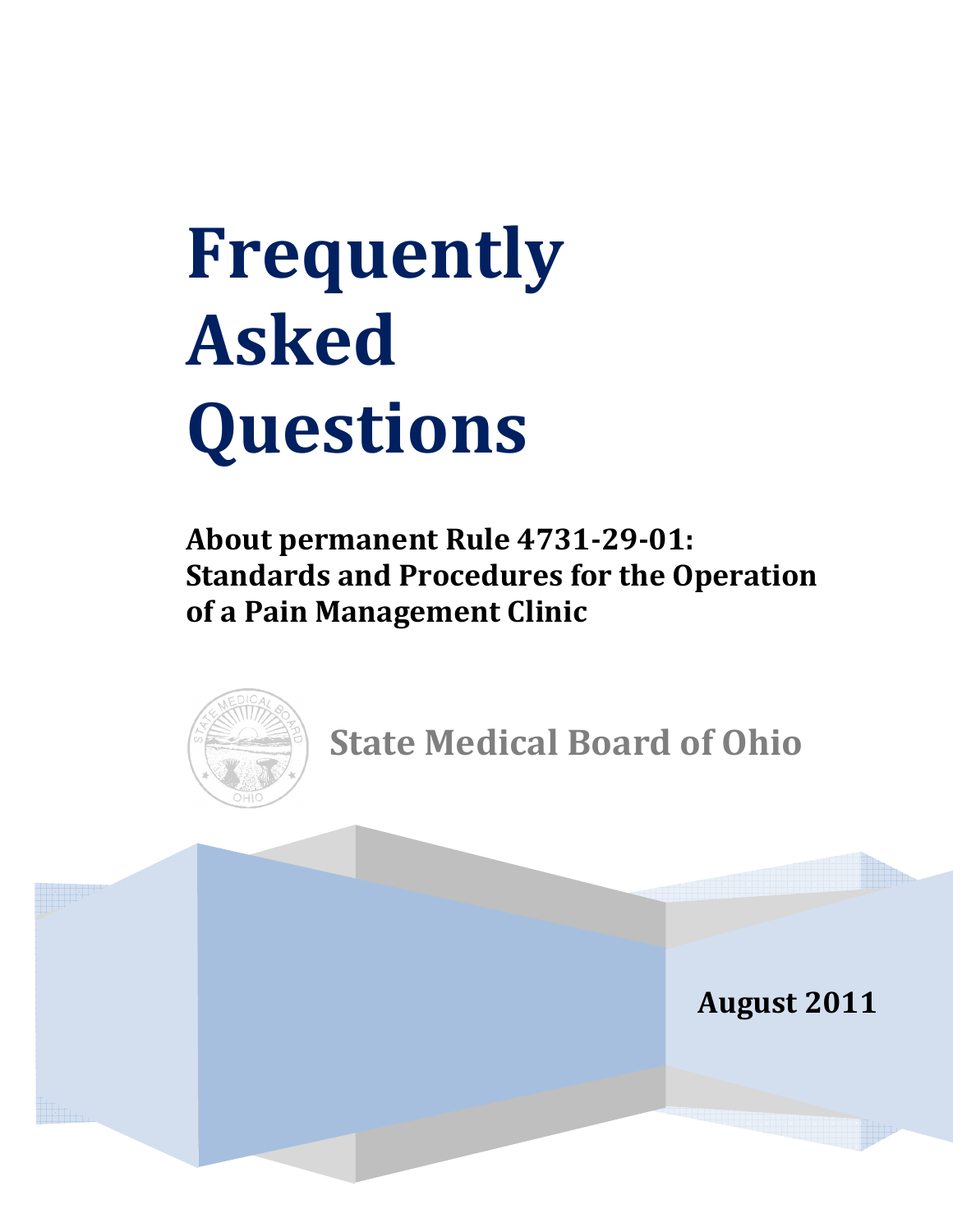**About permanent Rule 4731-29-01: Standards and Procedures for the Operation of a Pain Management Clinic**



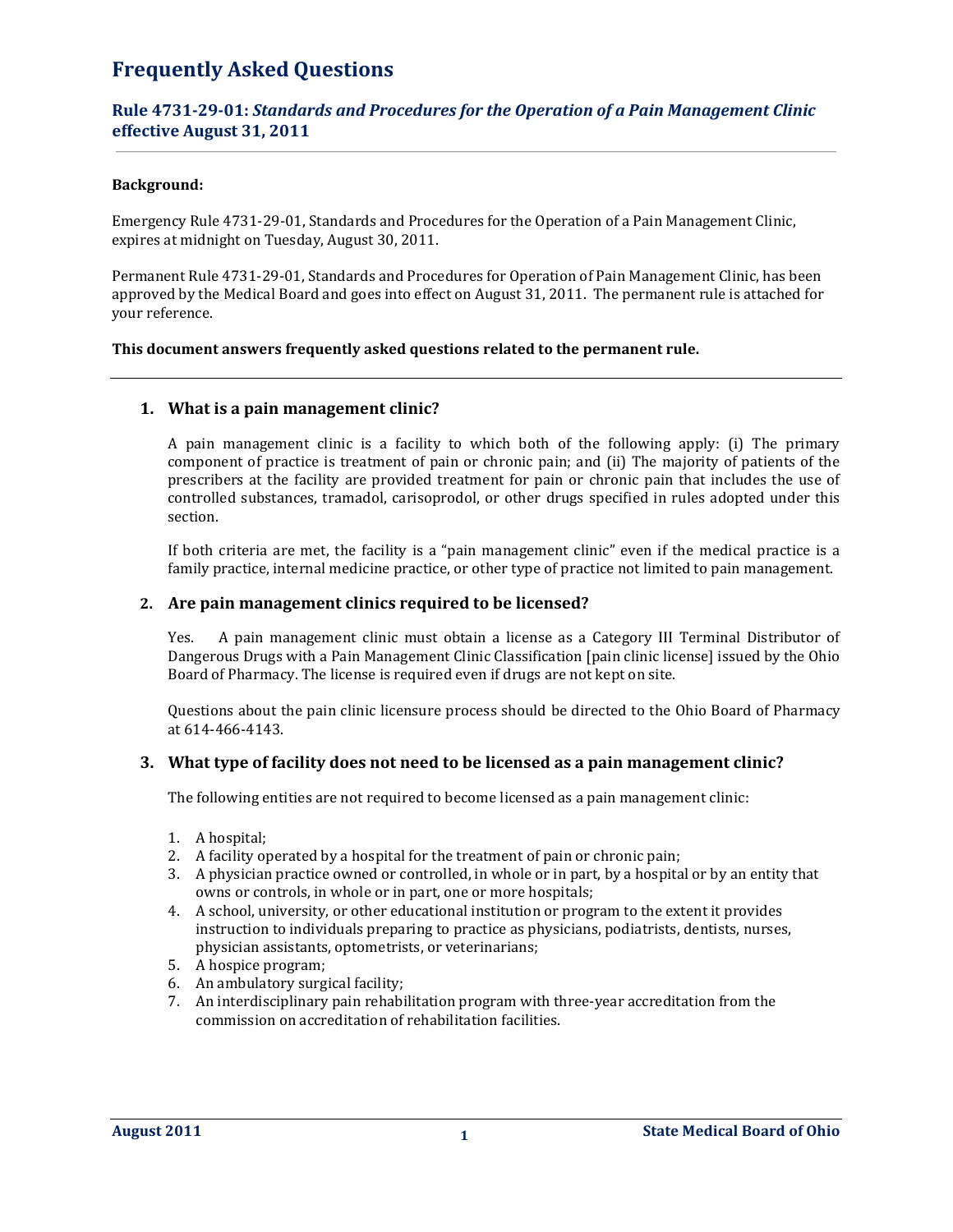## **Rule 4731-29-01:** *Standards and Procedures for the Operation of a Pain Management Clinic*  **effective August 31, 2011**

## **Background:**

Emergency Rule 4731-29-01, Standards and Procedures for the Operation of a Pain Management Clinic, expires at midnight on Tuesday, August 30, 2011.

Permanent Rule 4731-29-01, Standards and Procedures for Operation of Pain Management Clinic, has been approved by the Medical Board and goes into effect on August 31, 2011. The permanent rule is attached for your reference.

## **This document answers frequently asked questions related to the permanent rule.**

## **1. What is a pain management clinic?**

A pain management clinic is a facility to which both of the following apply: (i) The primary component of practice is treatment of pain or chronic pain; and (ii) The majority of patients of the prescribers at the facility are provided treatment for pain or chronic pain that includes the use of controlled substances, tramadol, carisoprodol, or other drugs specified in rules adopted under this section.

If both criteria are met, the facility is a "pain management clinic" even if the medical practice is a family practice, internal medicine practice, or other type of practice not limited to pain management.

## **2. Are pain management clinics required to be licensed?**

 Yes. A pain management clinic must obtain a license as a Category III Terminal Distributor of Dangerous Drugs with a Pain Management Clinic Classification [pain clinic license] issued by the Ohio Board of Pharmacy. The license is required even if drugs are not kept on site.

Questions about the pain clinic licensure process should be directed to the Ohio Board of Pharmacy at 614-466-4143.

## **3. What type of facility does not need to be licensed as a pain management clinic?**

The following entities are not required to become licensed as a pain management clinic:

- 1. A hospital;
- 2. A facility operated by a hospital for the treatment of pain or chronic pain;
- 3. A physician practice owned or controlled, in whole or in part, by a hospital or by an entity that owns or controls, in whole or in part, one or more hospitals;
- 4. A school, university, or other educational institution or program to the extent it provides instruction to individuals preparing to practice as physicians, podiatrists, dentists, nurses, physician assistants, optometrists, or veterinarians;
- 5. A hospice program;
- 6. An ambulatory surgical facility;
- 7. An interdisciplinary pain rehabilitation program with three-year accreditation from the commission on accreditation of rehabilitation facilities.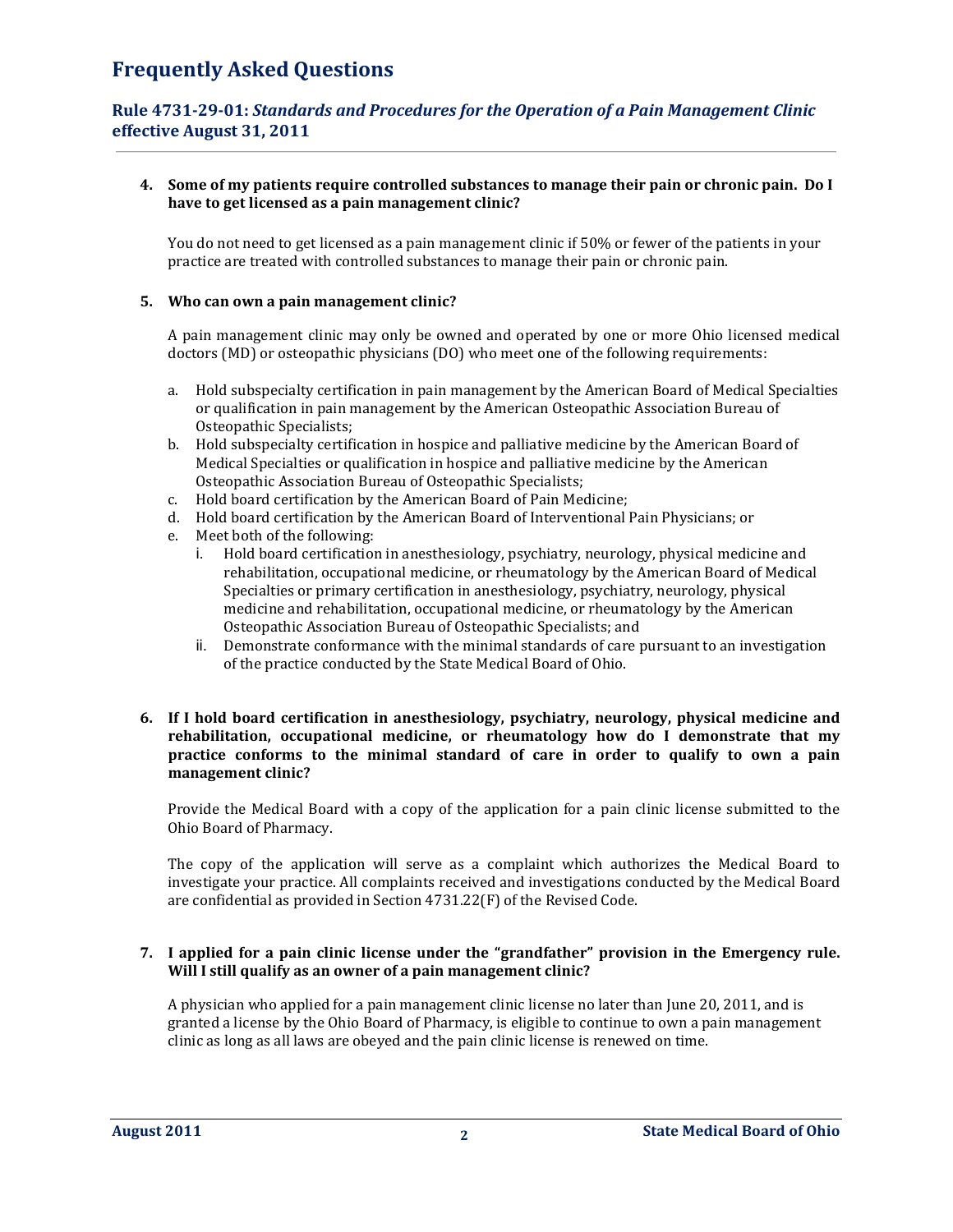## **Rule 4731-29-01:** *Standards and Procedures for the Operation of a Pain Management Clinic*  **effective August 31, 2011**

## **4. Some of my patients require controlled substances to manage their pain or chronic pain. Do I have to get licensed as a pain management clinic?**

You do not need to get licensed as a pain management clinic if 50% or fewer of the patients in your practice are treated with controlled substances to manage their pain or chronic pain.

## **5. Who can own a pain management clinic?**

A pain management clinic may only be owned and operated by one or more Ohio licensed medical doctors (MD) or osteopathic physicians (DO) who meet one of the following requirements:

- a. Hold subspecialty certification in pain management by the American Board of Medical Specialties or qualification in pain management by the American Osteopathic Association Bureau of Osteopathic Specialists;
- b. Hold subspecialty certification in hospice and palliative medicine by the American Board of Medical Specialties or qualification in hospice and palliative medicine by the American Osteopathic Association Bureau of Osteopathic Specialists;
- c. Hold board certification by the American Board of Pain Medicine;
- d. Hold board certification by the American Board of Interventional Pain Physicians; or
- e. Meet both of the following:
	- i. Hold board certification in anesthesiology, psychiatry, neurology, physical medicine and rehabilitation, occupational medicine, or rheumatology by the American Board of Medical Specialties or primary certification in anesthesiology, psychiatry, neurology, physical medicine and rehabilitation, occupational medicine, or rheumatology by the American Osteopathic Association Bureau of Osteopathic Specialists; and
	- ii. Demonstrate conformance with the minimal standards of care pursuant to an investigation of the practice conducted by the State Medical Board of Ohio.

## **6. If I hold board certification in anesthesiology, psychiatry, neurology, physical medicine and rehabilitation, occupational medicine, or rheumatology how do I demonstrate that my practice conforms to the minimal standard of care in order to qualify to own a pain management clinic?**

Provide the Medical Board with a copy of the application for a pain clinic license submitted to the Ohio Board of Pharmacy.

The copy of the application will serve as a complaint which authorizes the Medical Board to investigate your practice. All complaints received and investigations conducted by the Medical Board are confidential as provided in Section 4731.22(F) of the Revised Code.

## **7. I applied for a pain clinic license under the "grandfather" provision in the Emergency rule. Will I still qualify as an owner of a pain management clinic?**

A physician who applied for a pain management clinic license no later than June 20, 2011, and is granted a license by the Ohio Board of Pharmacy, is eligible to continue to own a pain management clinic as long as all laws are obeyed and the pain clinic license is renewed on time.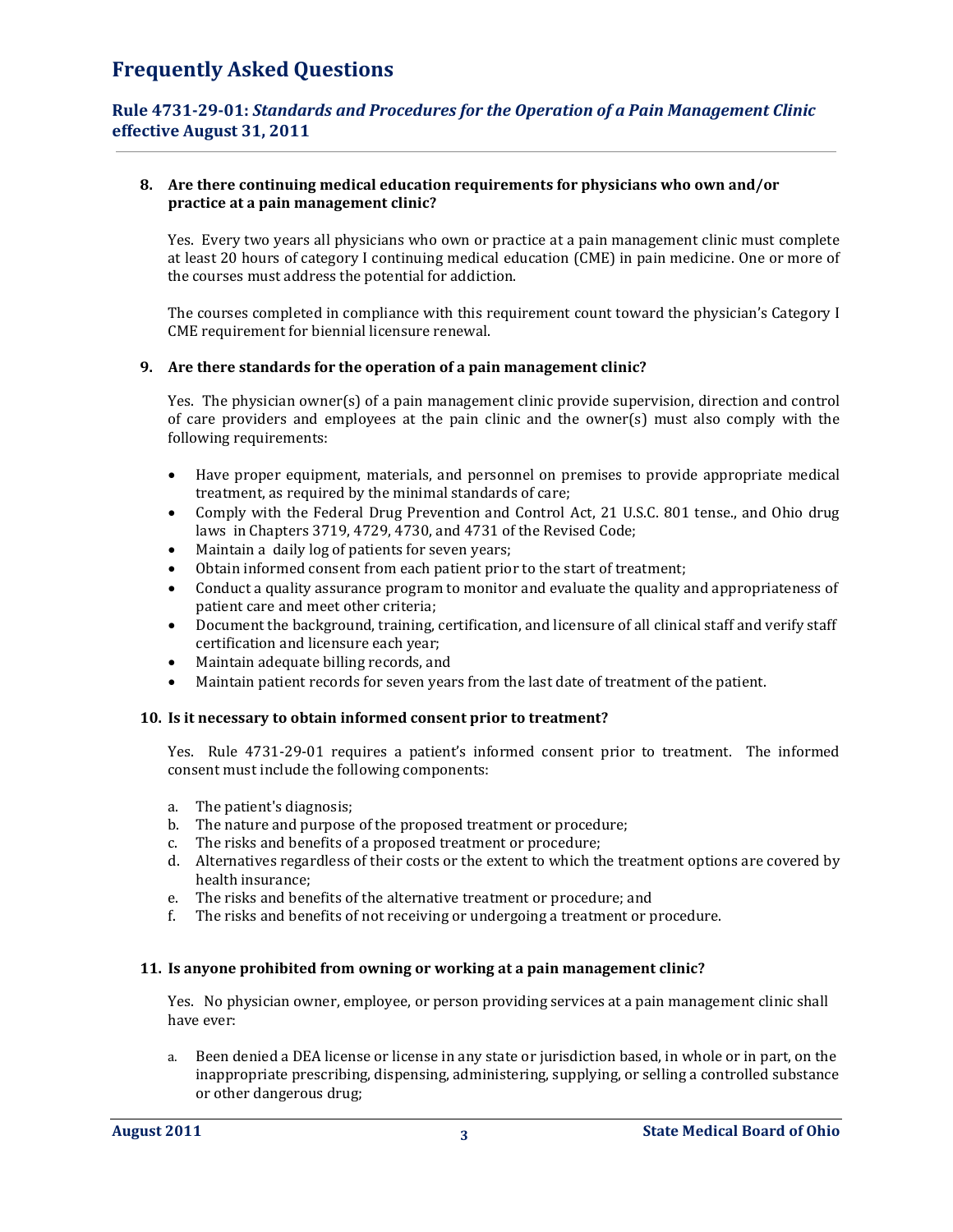## **Rule 4731-29-01:** *Standards and Procedures for the Operation of a Pain Management Clinic*  **effective August 31, 2011**

## **8. Are there continuing medical education requirements for physicians who own and/or practice at a pain management clinic?**

Yes. Every two years all physicians who own or practice at a pain management clinic must complete at least 20 hours of category I continuing medical education (CME) in pain medicine. One or more of the courses must address the potential for addiction.

The courses completed in compliance with this requirement count toward the physician's Category I CME requirement for biennial licensure renewal.

## **9. Are there standards for the operation of a pain management clinic?**

Yes. The physician owner(s) of a pain management clinic provide supervision, direction and control of care providers and employees at the pain clinic and the owner(s) must also comply with the following requirements:

- Have proper equipment, materials, and personnel on premises to provide appropriate medical treatment, as required by the minimal standards of care;
- Comply with the Federal Drug Prevention and Control Act, 21 U.S.C. 801 tense., and Ohio drug laws in Chapters 3719, 4729, 4730, and 4731 of the Revised Code;
- Maintain a daily log of patients for seven years;
- Obtain informed consent from each patient prior to the start of treatment;
- Conduct a quality assurance program to monitor and evaluate the quality and appropriateness of patient care and meet other criteria;
- Document the background, training, certification, and licensure of all clinical staff and verify staff certification and licensure each year;
- Maintain adequate billing records, and
- Maintain patient records for seven years from the last date of treatment of the patient.

## **10. Is it necessary to obtain informed consent prior to treatment?**

Yes. Rule 4731-29-01 requires a patient's informed consent prior to treatment. The informed consent must include the following components:

- a. The patient's diagnosis;
- b. The nature and purpose of the proposed treatment or procedure;
- c. The risks and benefits of a proposed treatment or procedure;
- d. Alternatives regardless of their costs or the extent to which the treatment options are covered by health insurance;
- e. The risks and benefits of the alternative treatment or procedure; and
- f. The risks and benefits of not receiving or undergoing a treatment or procedure.

## **11. Is anyone prohibited from owning or working at a pain management clinic?**

Yes. No physician owner, employee, or person providing services at a pain management clinic shall have ever:

a. Been denied a DEA license or license in any state or jurisdiction based, in whole or in part, on the inappropriate prescribing, dispensing, administering, supplying, or selling a controlled substance or other dangerous drug;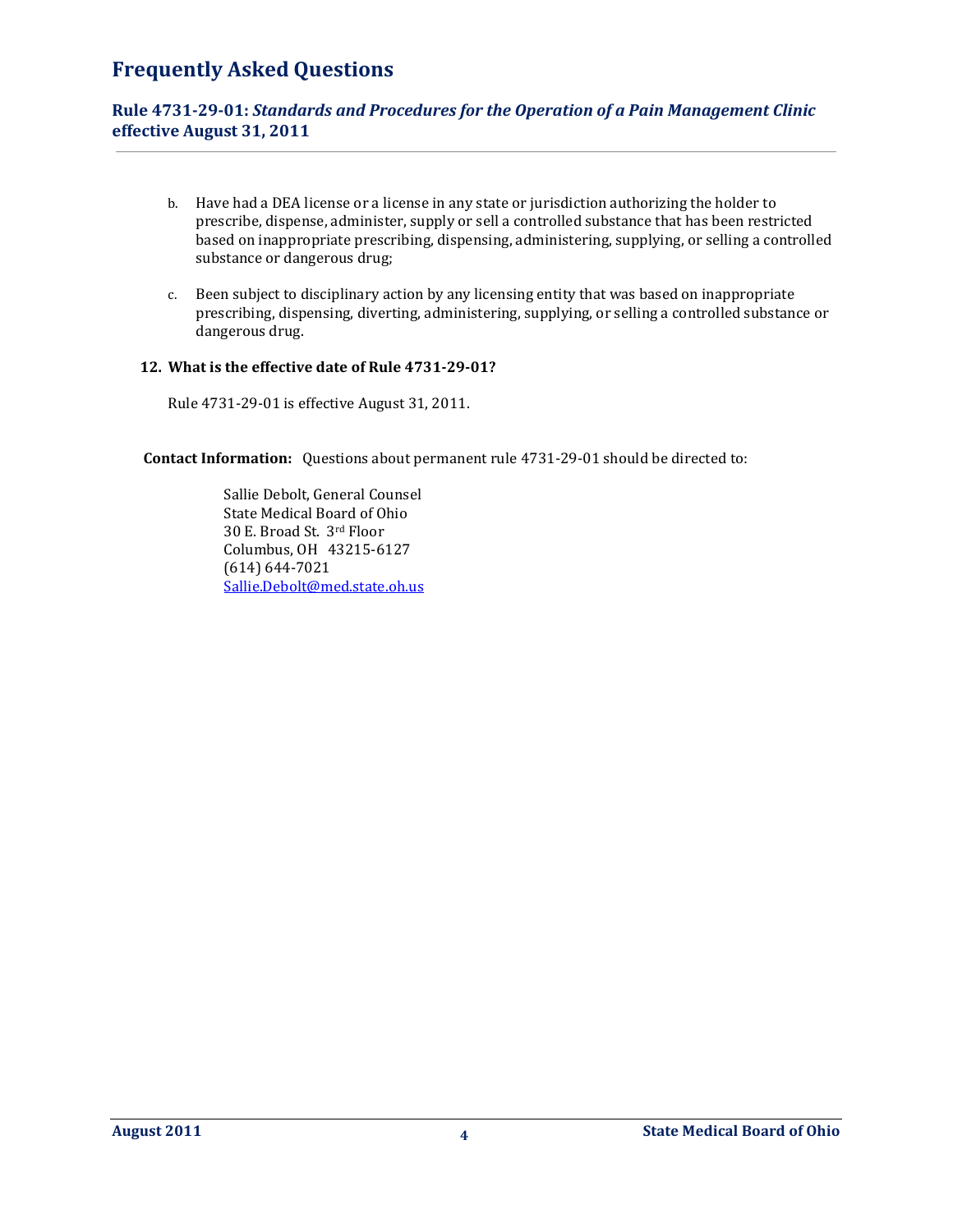## **Rule 4731-29-01:** *Standards and Procedures for the Operation of a Pain Management Clinic*  **effective August 31, 2011**

- b. Have had a DEA license or a license in any state or jurisdiction authorizing the holder to prescribe, dispense, administer, supply or sell a controlled substance that has been restricted based on inappropriate prescribing, dispensing, administering, supplying, or selling a controlled substance or dangerous drug;
- c. Been subject to disciplinary action by any licensing entity that was based on inappropriate prescribing, dispensing, diverting, administering, supplying, or selling a controlled substance or dangerous drug.

## **12. What is the effective date of Rule 4731-29-01?**

Rule 4731-29-01 is effective August 31, 2011.

 **Contact Information:** Questions about permanent rule 4731-29-01 should be directed to:

 Sallie Debolt, General Counsel State Medical Board of Ohio 30 E. Broad St. 3rd Floor Columbus, OH 43215-6127 (614) 644-7021 Sallie.Debolt@med.state.oh.us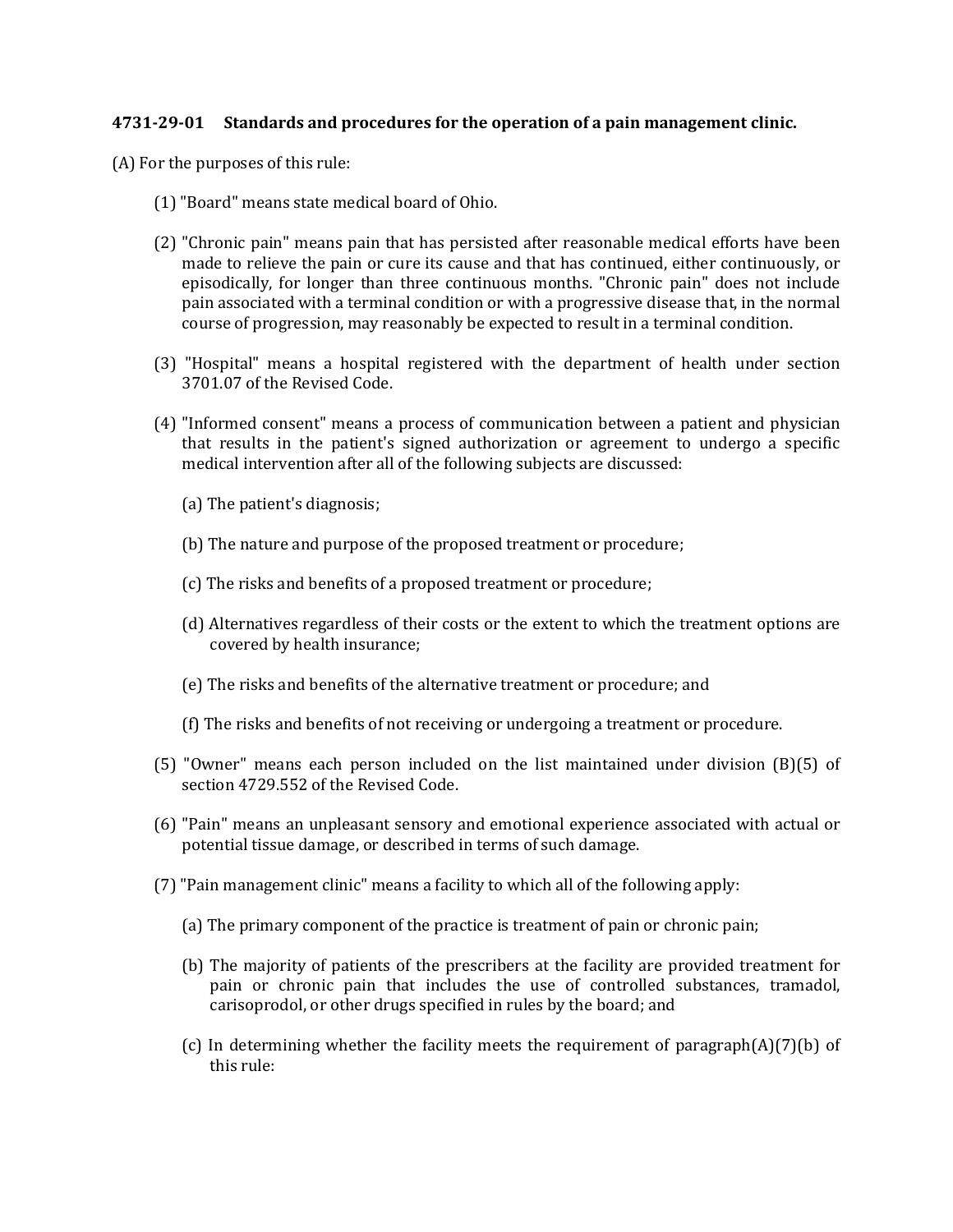## **4731-29-01 Standards and procedures for the operation of a pain management clinic.**

(A) For the purposes of this rule:

- (1) "Board" means state medical board of Ohio.
- (2) "Chronic pain" means pain that has persisted after reasonable medical efforts have been made to relieve the pain or cure its cause and that has continued, either continuously, or episodically, for longer than three continuous months. "Chronic pain" does not include pain associated with a terminal condition or with a progressive disease that, in the normal course of progression, may reasonably be expected to result in a terminal condition.
- (3) "Hospital" means a hospital registered with the department of health under section 3701.07 of the Revised Code.
- (4) "Informed consent" means a process of communication between a patient and physician that results in the patient's signed authorization or agreement to undergo a specific medical intervention after all of the following subjects are discussed:
	- (a) The patient's diagnosis;
	- (b) The nature and purpose of the proposed treatment or procedure;
	- (c) The risks and benefits of a proposed treatment or procedure;
	- (d) Alternatives regardless of their costs or the extent to which the treatment options are covered by health insurance;
	- (e) The risks and benefits of the alternative treatment or procedure; and
	- (f) The risks and benefits of not receiving or undergoing a treatment or procedure.
- (5) "Owner" means each person included on the list maintained under division (B)(5) of section 4729.552 of the Revised Code.
- (6) "Pain" means an unpleasant sensory and emotional experience associated with actual or potential tissue damage, or described in terms of such damage.
- (7) "Pain management clinic" means a facility to which all of the following apply:
	- (a) The primary component of the practice is treatment of pain or chronic pain;
	- (b) The majority of patients of the prescribers at the facility are provided treatment for pain or chronic pain that includes the use of controlled substances, tramadol, carisoprodol, or other drugs specified in rules by the board; and
	- (c) In determining whether the facility meets the requirement of paragraph $(A)(7)(b)$  of this rule: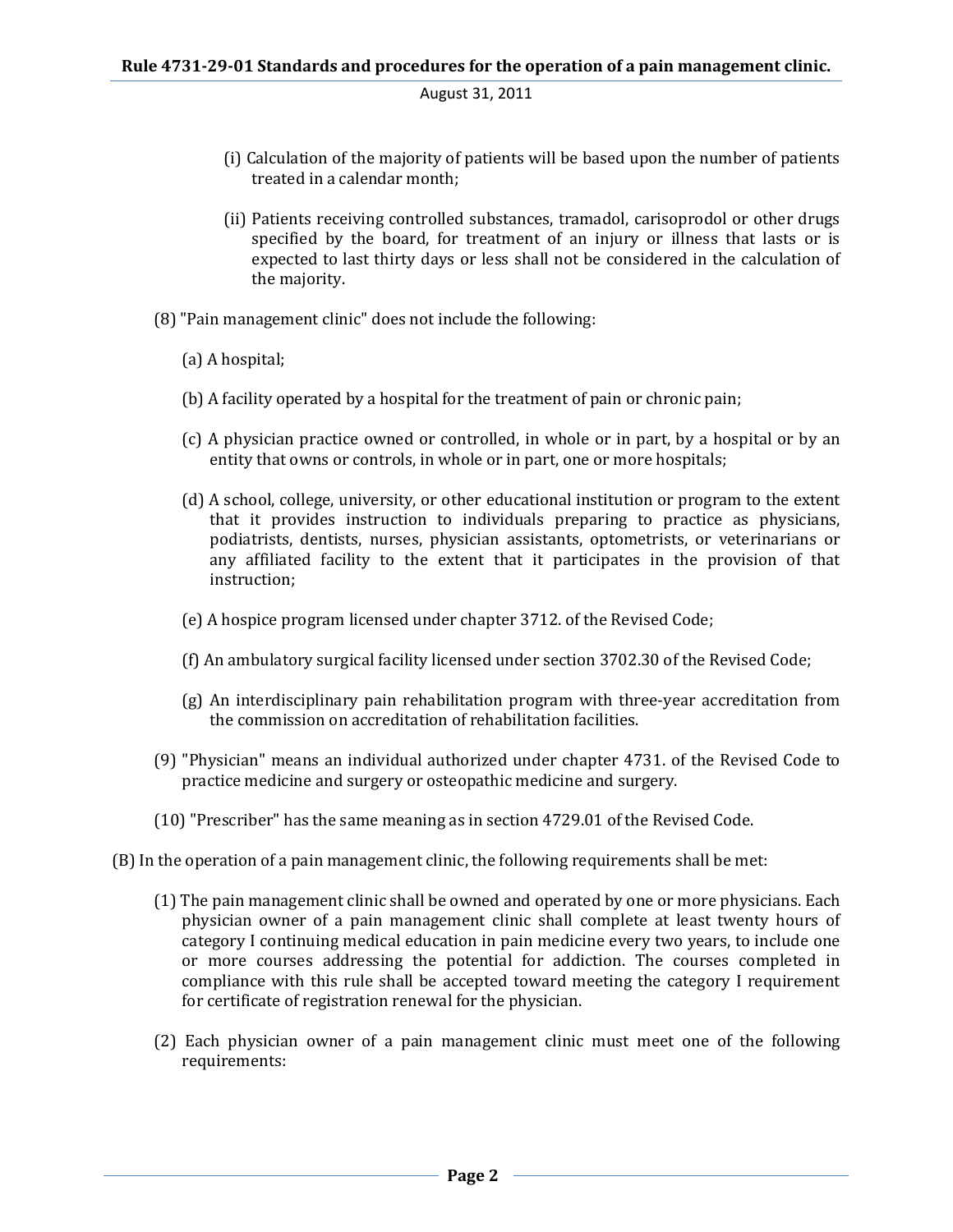```
August 31, 2011
```
- (i) Calculation of the majority of patients will be based upon the number of patients treated in a calendar month;
- (ii) Patients receiving controlled substances, tramadol, carisoprodol or other drugs specified by the board, for treatment of an injury or illness that lasts or is expected to last thirty days or less shall not be considered in the calculation of the majority.
- (8) "Pain management clinic" does not include the following:
	- (a) A hospital;
	- (b) A facility operated by a hospital for the treatment of pain or chronic pain;
	- (c) A physician practice owned or controlled, in whole or in part, by a hospital or by an entity that owns or controls, in whole or in part, one or more hospitals;
	- (d) A school, college, university, or other educational institution or program to the extent that it provides instruction to individuals preparing to practice as physicians, podiatrists, dentists, nurses, physician assistants, optometrists, or veterinarians or any affiliated facility to the extent that it participates in the provision of that instruction;
	- (e) A hospice program licensed under chapter 3712. of the Revised Code;
	- (f) An ambulatory surgical facility licensed under section 3702.30 of the Revised Code;
	- (g) An interdisciplinary pain rehabilitation program with three-year accreditation from the commission on accreditation of rehabilitation facilities.
- (9) "Physician" means an individual authorized under chapter 4731. of the Revised Code to practice medicine and surgery or osteopathic medicine and surgery.
- (10) "Prescriber" has the same meaning as in section 4729.01 of the Revised Code.
- (B) In the operation of a pain management clinic, the following requirements shall be met:
	- (1) The pain management clinic shall be owned and operated by one or more physicians. Each physician owner of a pain management clinic shall complete at least twenty hours of category I continuing medical education in pain medicine every two years, to include one or more courses addressing the potential for addiction. The courses completed in compliance with this rule shall be accepted toward meeting the category I requirement for certificate of registration renewal for the physician.
	- (2) Each physician owner of a pain management clinic must meet one of the following requirements: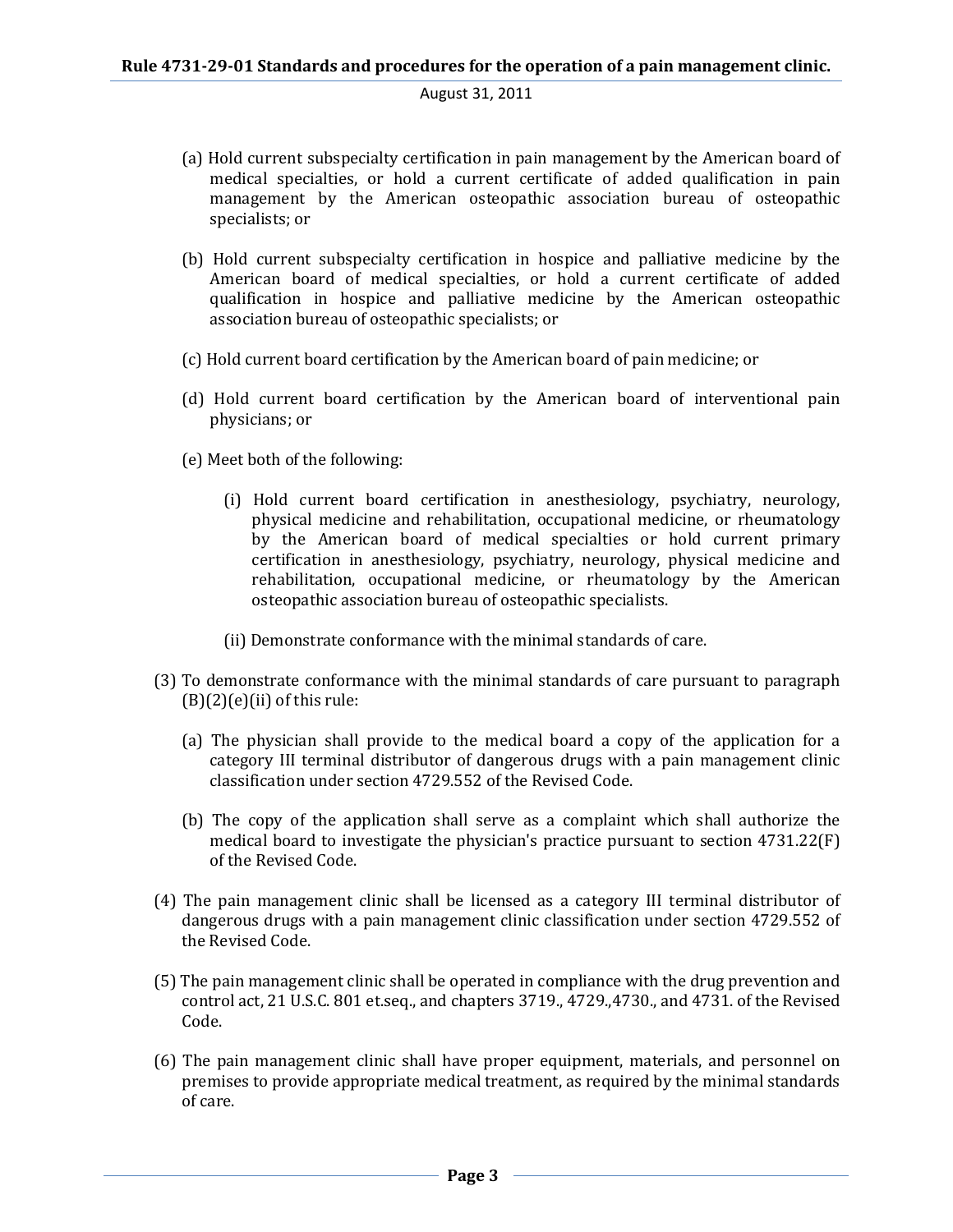## August 31, 2011

- (a) Hold current subspecialty certification in pain management by the American board of medical specialties, or hold a current certificate of added qualification in pain management by the American osteopathic association bureau of osteopathic specialists; or
- (b) Hold current subspecialty certification in hospice and palliative medicine by the American board of medical specialties, or hold a current certificate of added qualification in hospice and palliative medicine by the American osteopathic association bureau of osteopathic specialists; or
- (c) Hold current board certification by the American board of pain medicine; or
- (d) Hold current board certification by the American board of interventional pain physicians; or
- (e) Meet both of the following:
	- (i) Hold current board certification in anesthesiology, psychiatry, neurology, physical medicine and rehabilitation, occupational medicine, or rheumatology by the American board of medical specialties or hold current primary certification in anesthesiology, psychiatry, neurology, physical medicine and rehabilitation, occupational medicine, or rheumatology by the American osteopathic association bureau of osteopathic specialists.
	- (ii) Demonstrate conformance with the minimal standards of care.
- (3) To demonstrate conformance with the minimal standards of care pursuant to paragraph  $(B)(2)(e)(ii)$  of this rule:
	- (a) The physician shall provide to the medical board a copy of the application for a category III terminal distributor of dangerous drugs with a pain management clinic classification under section 4729.552 of the Revised Code.
	- (b) The copy of the application shall serve as a complaint which shall authorize the medical board to investigate the physician's practice pursuant to section 4731.22(F) of the Revised Code.
- (4) The pain management clinic shall be licensed as a category III terminal distributor of dangerous drugs with a pain management clinic classification under section 4729.552 of the Revised Code.
- (5) The pain management clinic shall be operated in compliance with the drug prevention and control act, 21 U.S.C. 801 et.seq., and chapters 3719., 4729.,4730., and 4731. of the Revised Code.
- (6) The pain management clinic shall have proper equipment, materials, and personnel on premises to provide appropriate medical treatment, as required by the minimal standards of care.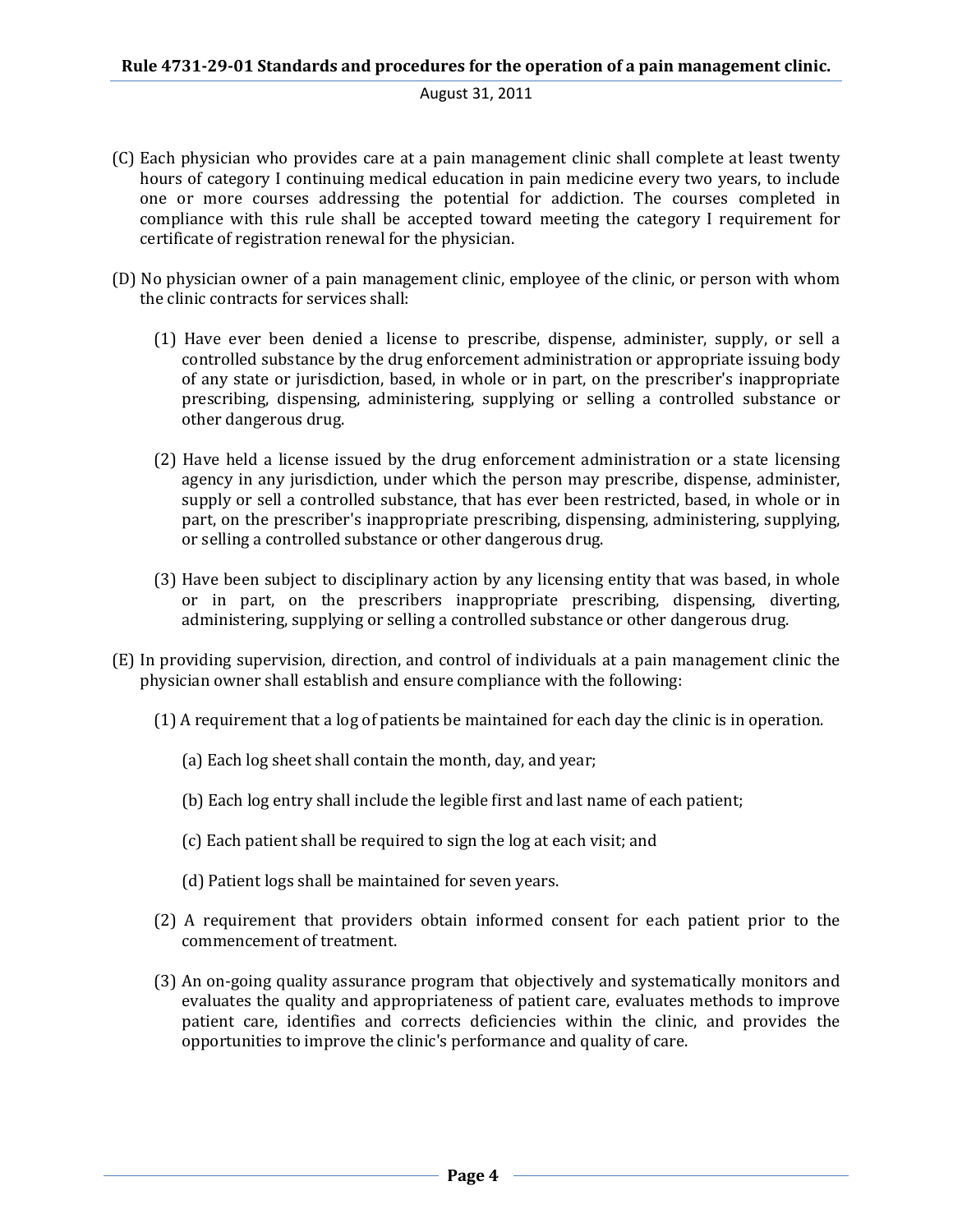## August 31, 2011

- (C) Each physician who provides care at a pain management clinic shall complete at least twenty hours of category I continuing medical education in pain medicine every two years, to include one or more courses addressing the potential for addiction. The courses completed in compliance with this rule shall be accepted toward meeting the category I requirement for certificate of registration renewal for the physician.
- (D) No physician owner of a pain management clinic, employee of the clinic, or person with whom the clinic contracts for services shall:
	- (1) Have ever been denied a license to prescribe, dispense, administer, supply, or sell a controlled substance by the drug enforcement administration or appropriate issuing body of any state or jurisdiction, based, in whole or in part, on the prescriber's inappropriate prescribing, dispensing, administering, supplying or selling a controlled substance or other dangerous drug.
	- (2) Have held a license issued by the drug enforcement administration or a state licensing agency in any jurisdiction, under which the person may prescribe, dispense, administer, supply or sell a controlled substance, that has ever been restricted, based, in whole or in part, on the prescriber's inappropriate prescribing, dispensing, administering, supplying, or selling a controlled substance or other dangerous drug.
	- (3) Have been subject to disciplinary action by any licensing entity that was based, in whole or in part, on the prescribers inappropriate prescribing, dispensing, diverting, administering, supplying or selling a controlled substance or other dangerous drug.
- (E) In providing supervision, direction, and control of individuals at a pain management clinic the physician owner shall establish and ensure compliance with the following:
	- (1) A requirement that a log of patients be maintained for each day the clinic is in operation.
		- (a) Each log sheet shall contain the month, day, and year;
		- (b) Each log entry shall include the legible first and last name of each patient;
		- (c) Each patient shall be required to sign the log at each visit; and
		- (d) Patient logs shall be maintained for seven years.
	- (2) A requirement that providers obtain informed consent for each patient prior to the commencement of treatment.
	- (3) An on-going quality assurance program that objectively and systematically monitors and evaluates the quality and appropriateness of patient care, evaluates methods to improve patient care, identifies and corrects deficiencies within the clinic, and provides the opportunities to improve the clinic's performance and quality of care.